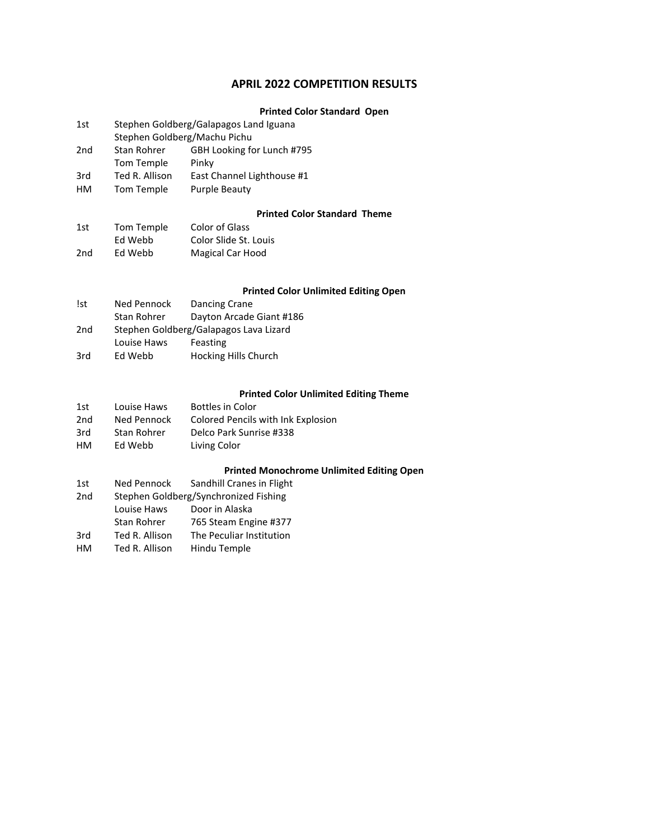### **APRIL 2022 COMPETITION RESULTS**

### **Printed Color Standard Open**

| 1st             | Stephen Goldberg/Machu Pichu     | Stephen Goldberg/Galapagos Land Iguana |
|-----------------|----------------------------------|----------------------------------------|
| 2 <sub>nd</sub> | <b>Stan Rohrer</b><br>Tom Temple | GBH Looking for Lunch #795<br>Pinky    |
| 3rd             | Ted R. Allison                   | East Channel Lighthouse #1             |
| HМ              | Tom Temple                       | <b>Purple Beauty</b>                   |

#### **Printed Color Standard Theme**

| 1st             | Tom Temple | Color of Glass        |
|-----------------|------------|-----------------------|
|                 | Ed Webb    | Color Slide St. Louis |
| 2 <sub>nd</sub> | Ed Webb    | Magical Car Hood      |

### **Printed Color Unlimited Editing Open**

| <b>Ist</b> | Ned Pennock                            | Dancing Crane            |
|------------|----------------------------------------|--------------------------|
|            | Stan Rohrer                            | Dayton Arcade Giant #186 |
| 2nd        | Stephen Goldberg/Galapagos Lava Lizard |                          |
|            | Louise Haws                            | Feasting                 |
| 3rd        | Ed Webb                                | Hocking Hills Church     |

## **Printed Color Unlimited Editing Theme**

| 1st | Louise Haws | <b>Bottles in Color</b>            |
|-----|-------------|------------------------------------|
| 2nd | Ned Pennock | Colored Pencils with Ink Explosion |
| 3rd | Stan Rohrer | Delco Park Sunrise #338            |
| HM  | Ed Webb     | Living Color                       |

#### **Printed Monochrome Unlimited Editing Open**

| 1st             | Ned Pennock    | Sandhill Cranes in Flight             |
|-----------------|----------------|---------------------------------------|
| 2 <sub>nd</sub> |                | Stephen Goldberg/Synchronized Fishing |
|                 | Louise Haws    | Door in Alaska                        |
|                 | Stan Rohrer    | 765 Steam Engine #377                 |
| 3rd             | Ted R. Allison | The Peculiar Institution              |
| HМ              | Ted R. Allison | Hindu Temple                          |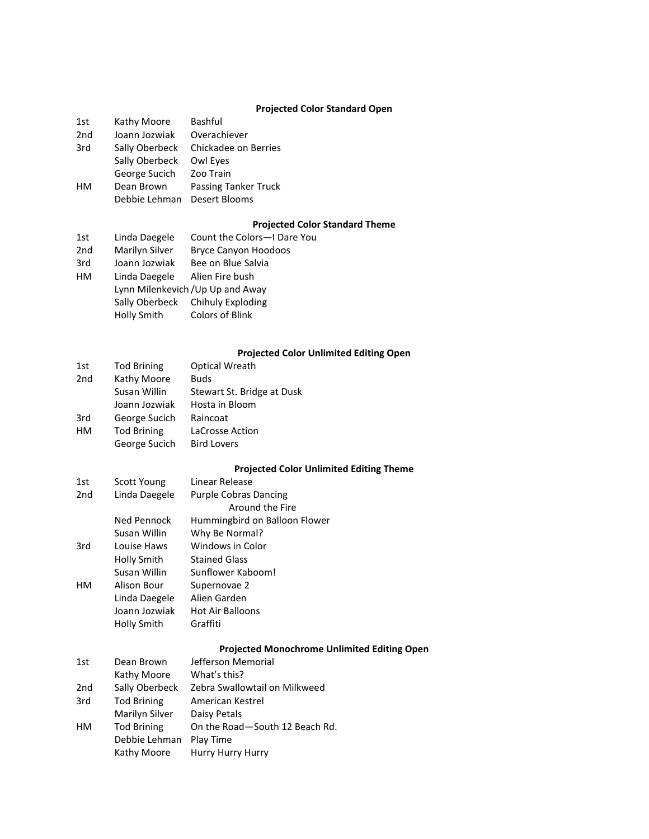## **Projected Color Standard Open**

| 1st             | Kathy Moore    | Bashful                               |
|-----------------|----------------|---------------------------------------|
| 2 <sub>nd</sub> | Joann Jozwiak  | Overachiever                          |
| 3rd             | Sally Oberbeck | Chickadee on Berries                  |
|                 | Sally Oberbeck | Owl Eyes                              |
|                 | George Sucich  | Zoo Train                             |
| HМ              | Dean Brown     | <b>Passing Tanker Truck</b>           |
|                 | Debbie Lehman  | Desert Blooms                         |
|                 |                |                                       |
|                 |                | <b>Projected Color Standard Theme</b> |
|                 |                |                                       |

| 1st             | Linda Daegele  | Count the Colors-I Dare You       |
|-----------------|----------------|-----------------------------------|
| 2 <sub>nd</sub> | Marilyn Silver | <b>Bryce Canyon Hoodoos</b>       |
| 3rd             | Joann Jozwiak  | Bee on Blue Salvia                |
| HM              | Linda Daegele  | Alien Fire bush                   |
|                 |                | Lynn Milenkevich / Up Up and Away |
|                 |                | Sally Oberbeck Chihuly Exploding  |
|                 | Holly Smith    | <b>Colors of Blink</b>            |
|                 |                |                                   |

### **Projected Color Unlimited Editing Open**

| 1st             | <b>Tod Brining</b> | <b>Optical Wreath</b>      |
|-----------------|--------------------|----------------------------|
| 2 <sub>nd</sub> | Kathy Moore        | <b>Buds</b>                |
|                 | Susan Willin       | Stewart St. Bridge at Dusk |
|                 | Joann Jozwiak      | Hosta in Bloom             |
| 3rd             | George Sucich      | Raincoat                   |
| HМ              | <b>Tod Brining</b> | LaCrosse Action            |
|                 | George Sucich      | <b>Bird Lovers</b>         |

### **Projected Color Unlimited Editing Theme**

| 1st             | Scott Young   | Linear Release                |
|-----------------|---------------|-------------------------------|
| 2 <sub>nd</sub> | Linda Daegele | <b>Purple Cobras Dancing</b>  |
|                 |               | Around the Fire               |
|                 | Ned Pennock   | Hummingbird on Balloon Flower |
|                 | Susan Willin  | Why Be Normal?                |
| 3rd             | Louise Haws   | Windows in Color              |
|                 | Holly Smith   | <b>Stained Glass</b>          |
|                 | Susan Willin  | Sunflower Kaboom!             |
| HМ              | Alison Bour   | Supernovae 2                  |
|                 | Linda Daegele | Alien Garden                  |
|                 | Joann Jozwiak | <b>Hot Air Balloons</b>       |
|                 | Holly Smith   | Graffiti                      |
|                 |               |                               |

## **Projected Monochrome Unlimited Editing Open**

| 1st | Dean Brown         | Jefferson Memorial             |
|-----|--------------------|--------------------------------|
|     | Kathy Moore        | What's this?                   |
| 2nd | Sally Oberbeck     | Zebra Swallowtail on Milkweed  |
| 3rd | <b>Tod Brining</b> | American Kestrel               |
|     | Marilyn Silver     | Daisy Petals                   |
| HM  | <b>Tod Brining</b> | On the Road-South 12 Beach Rd. |
|     | Debbie Lehman      | Play Time                      |
|     | Kathy Moore        | Hurry Hurry Hurry              |